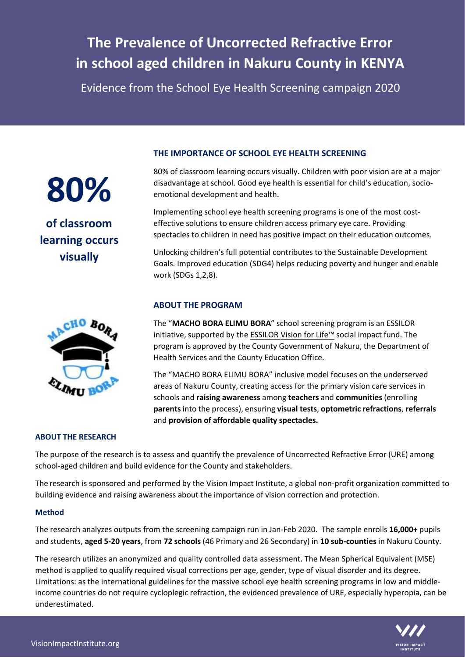# **The Prevalence of Uncorrected Refractive Error in school aged children in Nakuru County in KENYA**

Evidence from the School Eye Health Screening campaign 2020



**of classroom learning occurs visually**



## **THE IMPORTANCE OF SCHOOL EYE HEALTH SCREENING**

80% of classroom learning occurs visually**.** Children with poor vision are at a major disadvantage at school. Good eye health is essential for child's education, socioemotional development and health.

Implementing school eye health screening programs is one of the most costeffective solutions to ensure children access primary eye care. Providing spectacles to children in need has positive impact on their education outcomes.

Unlocking children's full potential contributes to the Sustainable Development Goals. Improved education (SDG4) helps reducing poverty and hunger and enable work (SDGs 1,2,8).

### **ABOUT THE PROGRAM**

The "**MACHO BORA ELIMU BORA**" school screening program is an ESSILOR initiative, supported by the ESSILOR [Vision for Life™](https://www.essilorseechange.com/about-us/) social impact fund. The program is approved by the County Government of Nakuru, the Department of Health Services and the County Education Office.

The "MACHO BORA ELIMU BORA" inclusive model focuses on the underserved areas of Nakuru County, creating access for the primary vision care services in schools and **raising awareness** among **teachers** and **communities** (enrolling **parents** into the process), ensuring **visual tests**, **optometric refractions**, **referrals** and **provision of affordable quality spectacles.** 

#### **ABOUT THE RESEARCH**

The purpose of the research is to assess and quantify the prevalence of Uncorrected Refractive Error (URE) among school-aged children and build evidence for the County and stakeholders.

The research is sponsored and performed by the [Vision Impact Institute,](https://visionimpactinstitute.org/) a global non-profit organization committed to building evidence and raising awareness about the importance of vision correction and protection.

#### **Method**

The research analyzes outputs from the screening campaign run in Jan-Feb 2020. The sample enrolls **16,000+** pupils and students, **aged 5-20 years**, from **72 schools** (46 Primary and 26 Secondary) in **10 sub-counties** in Nakuru County.

The research utilizes an anonymized and quality controlled data assessment. The Mean Spherical Equivalent (MSE) method is applied to qualify required visual corrections per age, gender, type of visual disorder and its degree. Limitations: as the international guidelines for the massive school eye health screening programs in low and middleincome countries do not require cycloplegic refraction, the evidenced prevalence of URE, especially hyperopia, can be underestimated.